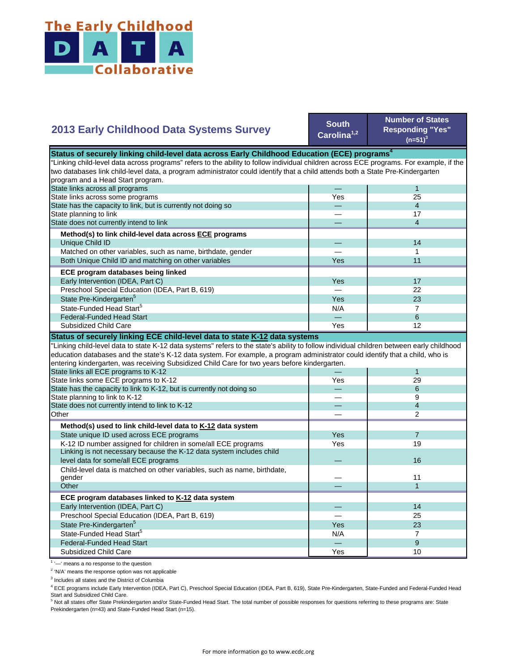

## **2013 Early Childhood Data Systems Survey**

**South Carolina1,2**

**Number of States Responding "Yes"**   $(n=51)^3$ 

| Status of securely linking child-level data across Early Childhood Education (ECE) programs $^4$                                          |     |                          |  |
|-------------------------------------------------------------------------------------------------------------------------------------------|-----|--------------------------|--|
| "Linking child-level data across programs" refers to the ability to follow individual children across ECE programs. For example, if the   |     |                          |  |
| two databases link child-level data, a program administrator could identify that a child attends both a State Pre-Kindergarten            |     |                          |  |
| program and a Head Start program.                                                                                                         |     |                          |  |
| State links across all programs                                                                                                           |     | $\mathbf{1}$             |  |
| State links across some programs                                                                                                          | Yes | 25                       |  |
| State has the capacity to link, but is currently not doing so                                                                             |     | $\overline{4}$           |  |
| State planning to link                                                                                                                    |     | 17                       |  |
| State does not currently intend to link                                                                                                   |     | $\overline{4}$           |  |
| Method(s) to link child-level data across ECE programs                                                                                    |     |                          |  |
| Unique Child ID                                                                                                                           |     | 14                       |  |
| Matched on other variables, such as name, birthdate, gender                                                                               |     | 1                        |  |
| Both Unique Child ID and matching on other variables                                                                                      | Yes | 11                       |  |
| ECE program databases being linked                                                                                                        |     |                          |  |
| Early Intervention (IDEA, Part C)                                                                                                         | Yes | 17                       |  |
| Preschool Special Education (IDEA, Part B, 619)                                                                                           |     | 22                       |  |
| State Pre-Kindergarten <sup>5</sup>                                                                                                       | Yes | 23                       |  |
| State-Funded Head Start <sup>5</sup>                                                                                                      | N/A | $\overline{7}$           |  |
| <b>Federal-Funded Head Start</b>                                                                                                          |     | 6                        |  |
| Subsidized Child Care                                                                                                                     | Yes | 12                       |  |
| Status of securely linking ECE child-level data to state K-12 data systems                                                                |     |                          |  |
| "Linking child-level data to state K-12 data systems" refers to the state's ability to follow individual children between early childhood |     |                          |  |
| education databases and the state's K-12 data system. For example, a program administrator could identify that a child, who is            |     |                          |  |
| entering kindergarten, was receiving Subsidized Child Care for two years before kindergarten.                                             |     |                          |  |
| State links all ECE programs to K-12                                                                                                      |     | $\mathbf{1}$             |  |
| State links some ECE programs to K-12                                                                                                     | Yes | 29                       |  |
| State has the capacity to link to K-12, but is currently not doing so                                                                     |     | 6                        |  |
| State planning to link to K-12                                                                                                            |     | 9                        |  |
| State does not currently intend to link to K-12                                                                                           |     | $\overline{\mathcal{L}}$ |  |
| Other                                                                                                                                     |     | $\mathfrak{p}$           |  |
| Method(s) used to link child-level data to K-12 data system                                                                               |     |                          |  |
| State unique ID used across ECE programs                                                                                                  | Yes | $\overline{7}$           |  |
| K-12 ID number assigned for children in some/all ECE programs                                                                             | Yes | 19                       |  |
| Linking is not necessary because the K-12 data system includes child                                                                      |     |                          |  |
| level data for some/all ECE programs                                                                                                      |     | 16                       |  |
| Child-level data is matched on other variables, such as name, birthdate,                                                                  |     |                          |  |
| gender                                                                                                                                    |     | 11                       |  |
| Other                                                                                                                                     |     | $\mathbf{1}$             |  |
| ECE program databases linked to K-12 data system                                                                                          |     |                          |  |
| Early Intervention (IDEA, Part C)                                                                                                         |     | 14                       |  |
| Preschool Special Education (IDEA, Part B, 619)                                                                                           |     | 25                       |  |
| State Pre-Kindergarten <sup>5</sup>                                                                                                       | Yes | 23                       |  |
| State-Funded Head Start <sup>5</sup>                                                                                                      | N/A | $\overline{7}$           |  |
| <b>Federal-Funded Head Start</b>                                                                                                          |     | 9                        |  |
| Subsidized Child Care                                                                                                                     | Yes | 10                       |  |

<sup>1</sup> '-' means a no response to the question

<sup>2</sup> 'N/A' means the response option was not applicable

<sup>3</sup> Includes all states and the District of Columbia

<sup>4</sup> ECE programs include Early Intervention (IDEA, Part C), Preschool Special Education (IDEA, Part B, 619), State Pre-Kindergarten, State-Funded and Federal-Funded Head

Start and Subsidized Child Care.<br><sup>5</sup> Not all states offer State Prekindergarten and/or State-Funded Head Start. The total number of possible responses for questions referring to these programs are: State Prekindergarten (n=43) and State-Funded Head Start (n=15).